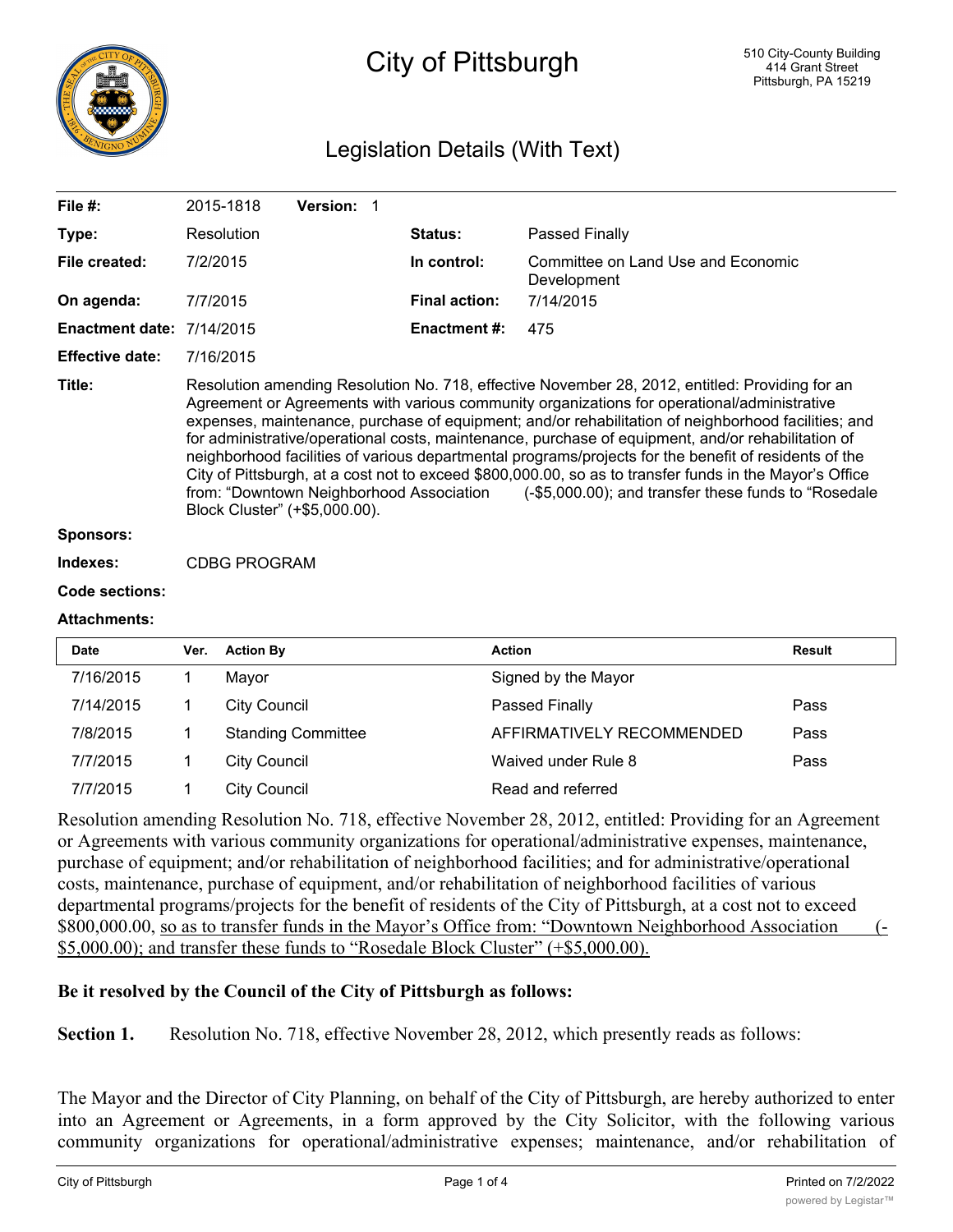

# City of Pittsburgh

# Legislation Details (With Text)

| File $#$ :                       | 2015-1818                                                                                                                                                                                                                                                                                                                                                                                                                                                                                                                                                                                                                                                                                                                                                         | <b>Version: 1</b> |                      |                                                   |
|----------------------------------|-------------------------------------------------------------------------------------------------------------------------------------------------------------------------------------------------------------------------------------------------------------------------------------------------------------------------------------------------------------------------------------------------------------------------------------------------------------------------------------------------------------------------------------------------------------------------------------------------------------------------------------------------------------------------------------------------------------------------------------------------------------------|-------------------|----------------------|---------------------------------------------------|
| Type:                            | Resolution                                                                                                                                                                                                                                                                                                                                                                                                                                                                                                                                                                                                                                                                                                                                                        |                   | <b>Status:</b>       | Passed Finally                                    |
| File created:                    | 7/2/2015                                                                                                                                                                                                                                                                                                                                                                                                                                                                                                                                                                                                                                                                                                                                                          |                   | In control:          | Committee on Land Use and Economic<br>Development |
| On agenda:                       | 7/7/2015                                                                                                                                                                                                                                                                                                                                                                                                                                                                                                                                                                                                                                                                                                                                                          |                   | <b>Final action:</b> | 7/14/2015                                         |
| <b>Enactment date: 7/14/2015</b> |                                                                                                                                                                                                                                                                                                                                                                                                                                                                                                                                                                                                                                                                                                                                                                   |                   | <b>Enactment #:</b>  | 475                                               |
| <b>Effective date:</b>           | 7/16/2015                                                                                                                                                                                                                                                                                                                                                                                                                                                                                                                                                                                                                                                                                                                                                         |                   |                      |                                                   |
| Title:                           | Resolution amending Resolution No. 718, effective November 28, 2012, entitled: Providing for an<br>Agreement or Agreements with various community organizations for operational/administrative<br>expenses, maintenance, purchase of equipment; and/or rehabilitation of neighborhood facilities; and<br>for administrative/operational costs, maintenance, purchase of equipment, and/or rehabilitation of<br>neighborhood facilities of various departmental programs/projects for the benefit of residents of the<br>City of Pittsburgh, at a cost not to exceed \$800,000.00, so as to transfer funds in the Mayor's Office<br>from: "Downtown Neighborhood Association (-\$5,000.00); and transfer these funds to "Rosedale<br>Block Cluster" (+\$5,000.00). |                   |                      |                                                   |
| <b>Sponsors:</b>                 |                                                                                                                                                                                                                                                                                                                                                                                                                                                                                                                                                                                                                                                                                                                                                                   |                   |                      |                                                   |
| Indexes:                         | <b>CDBG PROGRAM</b>                                                                                                                                                                                                                                                                                                                                                                                                                                                                                                                                                                                                                                                                                                                                               |                   |                      |                                                   |
| <b>Code sections:</b>            |                                                                                                                                                                                                                                                                                                                                                                                                                                                                                                                                                                                                                                                                                                                                                                   |                   |                      |                                                   |
| <b>Attachments:</b>              |                                                                                                                                                                                                                                                                                                                                                                                                                                                                                                                                                                                                                                                                                                                                                                   |                   |                      |                                                   |
|                                  |                                                                                                                                                                                                                                                                                                                                                                                                                                                                                                                                                                                                                                                                                                                                                                   |                   |                      |                                                   |

| <b>Date</b> | Ver. | <b>Action By</b>          | <b>Action</b>             | <b>Result</b> |
|-------------|------|---------------------------|---------------------------|---------------|
| 7/16/2015   |      | Mavor                     | Signed by the Mayor       |               |
| 7/14/2015   |      | <b>City Council</b>       | Passed Finally            | Pass          |
| 7/8/2015    |      | <b>Standing Committee</b> | AFFIRMATIVELY RECOMMENDED | Pass          |
| 7/7/2015    |      | <b>City Council</b>       | Waived under Rule 8       | Pass          |
| 7/7/2015    |      | City Council              | Read and referred         |               |

Resolution amending Resolution No. 718, effective November 28, 2012, entitled: Providing for an Agreement or Agreements with various community organizations for operational/administrative expenses, maintenance, purchase of equipment; and/or rehabilitation of neighborhood facilities; and for administrative/operational costs, maintenance, purchase of equipment, and/or rehabilitation of neighborhood facilities of various departmental programs/projects for the benefit of residents of the City of Pittsburgh, at a cost not to exceed \$800,000.00, so as to transfer funds in the Mayor's Office from: "Downtown Neighborhood Association (-\$5,000.00); and transfer these funds to "Rosedale Block Cluster" (+\$5,000.00).

## **Be it resolved by the Council of the City of Pittsburgh as follows:**

**Section 1.** Resolution No. 718, effective November 28, 2012, which presently reads as follows:

The Mayor and the Director of City Planning, on behalf of the City of Pittsburgh, are hereby authorized to enter into an Agreement or Agreements, in a form approved by the City Solicitor, with the following various community organizations for operational/administrative expenses; maintenance, and/or rehabilitation of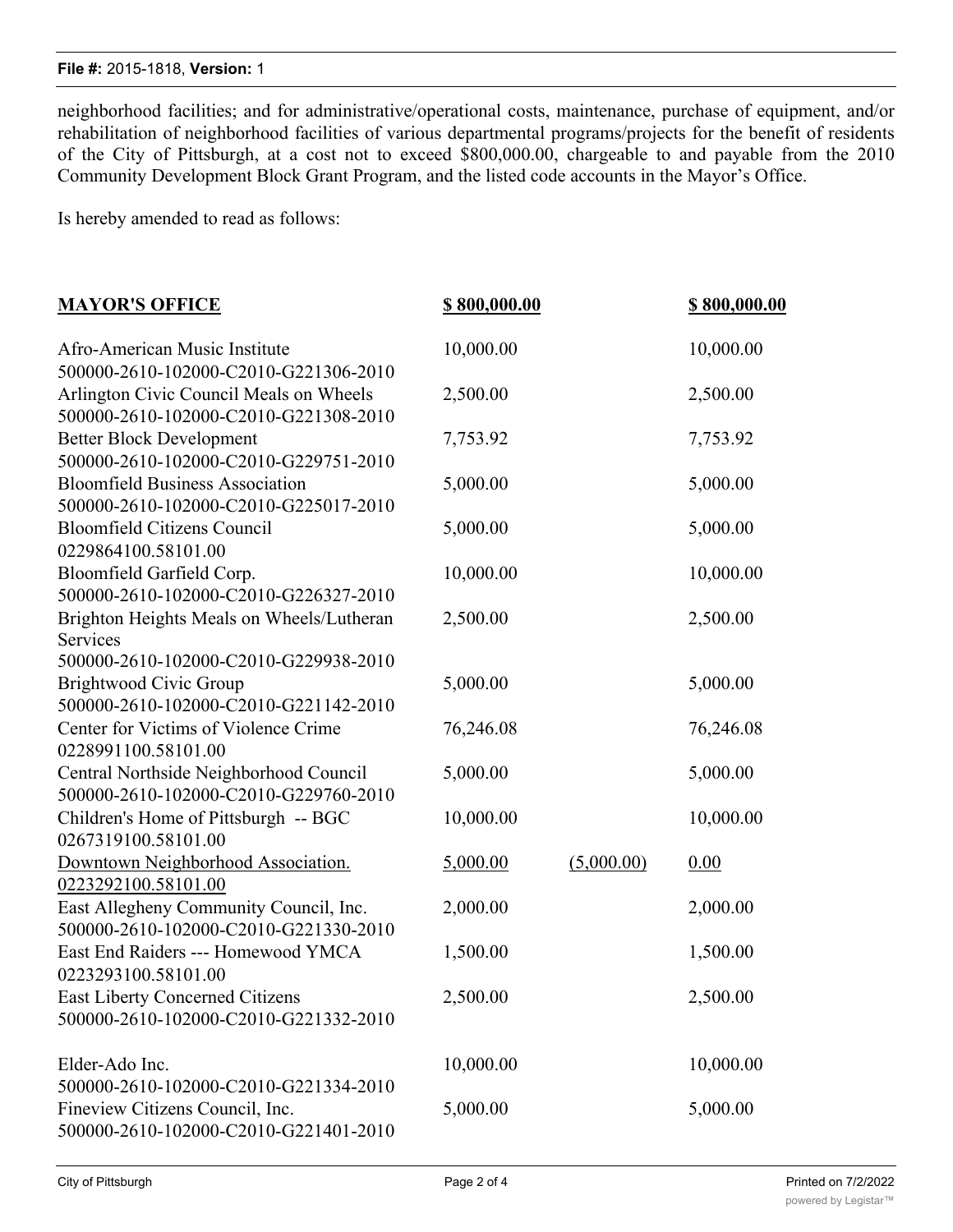#### **File #:** 2015-1818, **Version:** 1

neighborhood facilities; and for administrative/operational costs, maintenance, purchase of equipment, and/or rehabilitation of neighborhood facilities of various departmental programs/projects for the benefit of residents of the City of Pittsburgh, at a cost not to exceed \$800,000.00, chargeable to and payable from the 2010 Community Development Block Grant Program, and the listed code accounts in the Mayor's Office.

Is hereby amended to read as follows:

| <b>MAYOR'S OFFICE</b>                                                           | \$800,000.00 | \$800,000.00 |           |
|---------------------------------------------------------------------------------|--------------|--------------|-----------|
| Afro-American Music Institute                                                   | 10,000.00    |              | 10,000.00 |
| 500000-2610-102000-C2010-G221306-2010                                           |              |              |           |
| Arlington Civic Council Meals on Wheels                                         | 2,500.00     |              | 2,500.00  |
| 500000-2610-102000-C2010-G221308-2010                                           |              |              |           |
| <b>Better Block Development</b>                                                 | 7,753.92     |              | 7,753.92  |
| 500000-2610-102000-C2010-G229751-2010                                           |              |              |           |
| <b>Bloomfield Business Association</b>                                          | 5,000.00     |              | 5,000.00  |
| 500000-2610-102000-C2010-G225017-2010                                           |              |              |           |
| <b>Bloomfield Citizens Council</b>                                              | 5,000.00     |              | 5,000.00  |
| 0229864100.58101.00                                                             |              |              |           |
| Bloomfield Garfield Corp.                                                       | 10,000.00    |              | 10,000.00 |
| 500000-2610-102000-C2010-G226327-2010                                           |              |              |           |
| Brighton Heights Meals on Wheels/Lutheran                                       | 2,500.00     |              | 2,500.00  |
| Services                                                                        |              |              |           |
| 500000-2610-102000-C2010-G229938-2010                                           |              |              |           |
| Brightwood Civic Group                                                          | 5,000.00     |              | 5,000.00  |
| 500000-2610-102000-C2010-G221142-2010                                           |              |              |           |
| Center for Victims of Violence Crime                                            | 76,246.08    |              | 76,246.08 |
| 0228991100.58101.00                                                             |              |              |           |
| Central Northside Neighborhood Council                                          | 5,000.00     |              | 5,000.00  |
| 500000-2610-102000-C2010-G229760-2010                                           |              |              |           |
| Children's Home of Pittsburgh -- BGC                                            | 10,000.00    |              | 10,000.00 |
| 0267319100.58101.00                                                             |              |              |           |
| Downtown Neighborhood Association.                                              | 5,000.00     | (5,000.00)   | 0.00      |
| 0223292100.58101.00                                                             | 2,000.00     |              |           |
| East Allegheny Community Council, Inc.<br>500000-2610-102000-C2010-G221330-2010 |              |              | 2,000.00  |
| East End Raiders --- Homewood YMCA                                              | 1,500.00     |              | 1,500.00  |
| 0223293100.58101.00                                                             |              |              |           |
| East Liberty Concerned Citizens                                                 | 2,500.00     |              | 2,500.00  |
| 500000-2610-102000-C2010-G221332-2010                                           |              |              |           |
|                                                                                 |              |              |           |
| Elder-Ado Inc.                                                                  | 10,000.00    |              | 10,000.00 |
| 500000-2610-102000-C2010-G221334-2010                                           |              |              |           |
| Fineview Citizens Council, Inc.                                                 | 5,000.00     |              | 5,000.00  |
| 500000-2610-102000-C2010-G221401-2010                                           |              |              |           |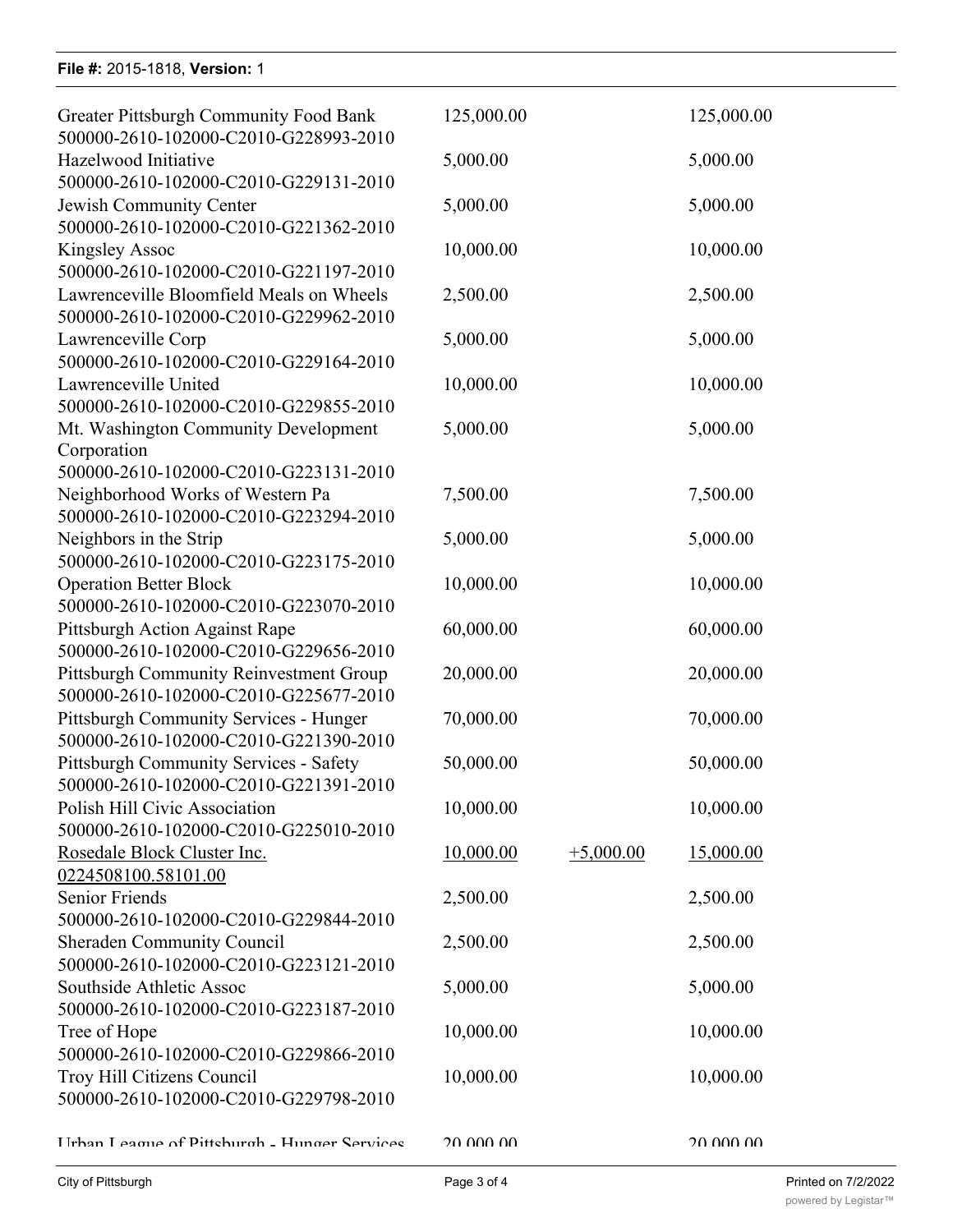### **File #:** 2015-1818, **Version:** 1

500000-2610-102000-C2010-G221334-2010

| <b>Greater Pittsburgh Community Food Bank</b><br>500000-2610-102000-C2010-G228993-2010                             | 125,000.00 |             | 125,000.00 |  |
|--------------------------------------------------------------------------------------------------------------------|------------|-------------|------------|--|
| Hazelwood Initiative<br>500000-2610-102000-C2010-G229131-2010                                                      | 5,000.00   |             | 5,000.00   |  |
| Jewish Community Center<br>500000-2610-102000-C2010-G221362-2010                                                   | 5,000.00   |             | 5,000.00   |  |
| <b>Kingsley Assoc</b><br>500000-2610-102000-C2010-G221197-2010                                                     | 10,000.00  |             | 10,000.00  |  |
| Lawrenceville Bloomfield Meals on Wheels<br>500000-2610-102000-C2010-G229962-2010                                  | 2,500.00   |             | 2,500.00   |  |
| Lawrenceville Corp<br>500000-2610-102000-C2010-G229164-2010                                                        | 5,000.00   |             | 5,000.00   |  |
| Lawrenceville United<br>500000-2610-102000-C2010-G229855-2010                                                      | 10,000.00  |             | 10,000.00  |  |
| Mt. Washington Community Development<br>Corporation                                                                | 5,000.00   |             | 5,000.00   |  |
| 500000-2610-102000-C2010-G223131-2010<br>Neighborhood Works of Western Pa<br>500000-2610-102000-C2010-G223294-2010 | 7,500.00   |             | 7,500.00   |  |
| Neighbors in the Strip<br>500000-2610-102000-C2010-G223175-2010                                                    | 5,000.00   |             | 5,000.00   |  |
| <b>Operation Better Block</b><br>500000-2610-102000-C2010-G223070-2010                                             | 10,000.00  |             | 10,000.00  |  |
| Pittsburgh Action Against Rape<br>500000-2610-102000-C2010-G229656-2010                                            | 60,000.00  |             | 60,000.00  |  |
| Pittsburgh Community Reinvestment Group<br>500000-2610-102000-C2010-G225677-2010                                   | 20,000.00  |             | 20,000.00  |  |
| Pittsburgh Community Services - Hunger<br>500000-2610-102000-C2010-G221390-2010                                    | 70,000.00  |             | 70,000.00  |  |
| Pittsburgh Community Services - Safety<br>500000-2610-102000-C2010-G221391-2010                                    | 50,000.00  |             | 50,000.00  |  |
| Polish Hill Civic Association<br>500000-2610-102000-C2010-G225010-2010                                             | 10,000.00  |             | 10,000.00  |  |
| Rosedale Block Cluster Inc.<br>0224508100.58101.00                                                                 | 10,000.00  | $+5,000.00$ | 15,000.00  |  |
| <b>Senior Friends</b><br>500000-2610-102000-C2010-G229844-2010                                                     | 2,500.00   |             | 2,500.00   |  |
| <b>Sheraden Community Council</b><br>500000-2610-102000-C2010-G223121-2010                                         | 2,500.00   |             | 2,500.00   |  |
| Southside Athletic Assoc<br>500000-2610-102000-C2010-G223187-2010                                                  | 5,000.00   |             | 5,000.00   |  |
| Tree of Hope<br>500000-2610-102000-C2010-G229866-2010                                                              | 10,000.00  |             | 10,000.00  |  |
| Troy Hill Citizens Council<br>500000-2610-102000-C2010-G229798-2010                                                | 10,000.00  |             | 10,000.00  |  |
| Hrhan League of Pittshurgh - Hunger Services                                                                       | 20 000 00  |             | 20.000.00  |  |